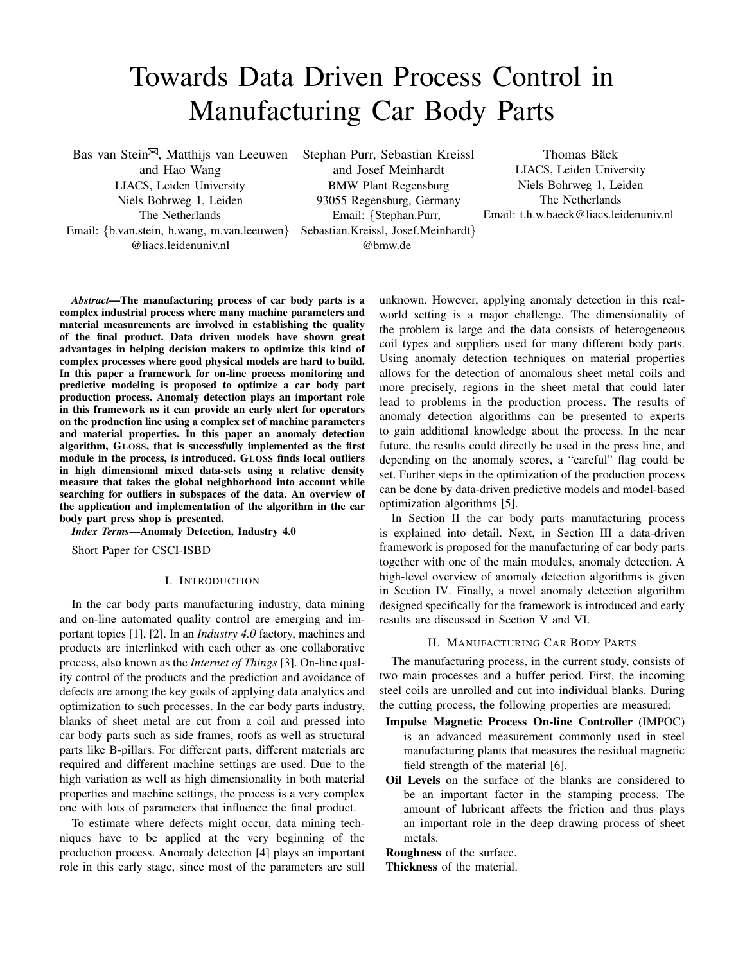# Towards Data Driven Process Control in Manufacturing Car Body Parts

Bas van Stein $\mathbb{Z}$ , Matthijs van Leeuwen and Hao Wang LIACS, Leiden University Niels Bohrweg 1, Leiden The Netherlands Email: {b.van.stein, h.wang, m.van.leeuwen} @liacs.leidenuniv.nl

Stephan Purr, Sebastian Kreissl and Josef Meinhardt BMW Plant Regensburg 93055 Regensburg, Germany Email: {Stephan.Purr, Sebastian.Kreissl, Josef.Meinhardt} @bmw.de

Thomas Bäck LIACS, Leiden University Niels Bohrweg 1, Leiden The Netherlands Email: t.h.w.baeck@liacs.leidenuniv.nl

*Abstract*—The manufacturing process of car body parts is a complex industrial process where many machine parameters and material measurements are involved in establishing the quality of the final product. Data driven models have shown great advantages in helping decision makers to optimize this kind of complex processes where good physical models are hard to build. In this paper a framework for on-line process monitoring and predictive modeling is proposed to optimize a car body part production process. Anomaly detection plays an important role in this framework as it can provide an early alert for operators on the production line using a complex set of machine parameters and material properties. In this paper an anomaly detection algorithm, GLOSS, that is successfully implemented as the first module in the process, is introduced. GLOSS finds local outliers in high dimensional mixed data-sets using a relative density measure that takes the global neighborhood into account while searching for outliers in subspaces of the data. An overview of the application and implementation of the algorithm in the car body part press shop is presented.

*Index Terms*—Anomaly Detection, Industry 4.0

Short Paper for CSCI-ISBD

### I. INTRODUCTION

In the car body parts manufacturing industry, data mining and on-line automated quality control are emerging and important topics [1], [2]. In an *Industry 4.0* factory, machines and products are interlinked with each other as one collaborative process, also known as the *Internet of Things* [3]. On-line quality control of the products and the prediction and avoidance of defects are among the key goals of applying data analytics and optimization to such processes. In the car body parts industry, blanks of sheet metal are cut from a coil and pressed into car body parts such as side frames, roofs as well as structural parts like B-pillars. For different parts, different materials are required and different machine settings are used. Due to the high variation as well as high dimensionality in both material properties and machine settings, the process is a very complex one with lots of parameters that influence the final product.

To estimate where defects might occur, data mining techniques have to be applied at the very beginning of the production process. Anomaly detection [4] plays an important role in this early stage, since most of the parameters are still

unknown. However, applying anomaly detection in this realworld setting is a major challenge. The dimensionality of the problem is large and the data consists of heterogeneous coil types and suppliers used for many different body parts. Using anomaly detection techniques on material properties allows for the detection of anomalous sheet metal coils and more precisely, regions in the sheet metal that could later lead to problems in the production process. The results of anomaly detection algorithms can be presented to experts to gain additional knowledge about the process. In the near future, the results could directly be used in the press line, and depending on the anomaly scores, a "careful" flag could be set. Further steps in the optimization of the production process can be done by data-driven predictive models and model-based optimization algorithms [5].

In Section II the car body parts manufacturing process is explained into detail. Next, in Section III a data-driven framework is proposed for the manufacturing of car body parts together with one of the main modules, anomaly detection. A high-level overview of anomaly detection algorithms is given in Section IV. Finally, a novel anomaly detection algorithm designed specifically for the framework is introduced and early results are discussed in Section V and VI.

#### II. MANUFACTURING CAR BODY PARTS

The manufacturing process, in the current study, consists of two main processes and a buffer period. First, the incoming steel coils are unrolled and cut into individual blanks. During the cutting process, the following properties are measured:

- Impulse Magnetic Process On-line Controller (IMPOC) is an advanced measurement commonly used in steel manufacturing plants that measures the residual magnetic field strength of the material [6].
- Oil Levels on the surface of the blanks are considered to be an important factor in the stamping process. The amount of lubricant affects the friction and thus plays an important role in the deep drawing process of sheet metals.

Roughness of the surface.

Thickness of the material.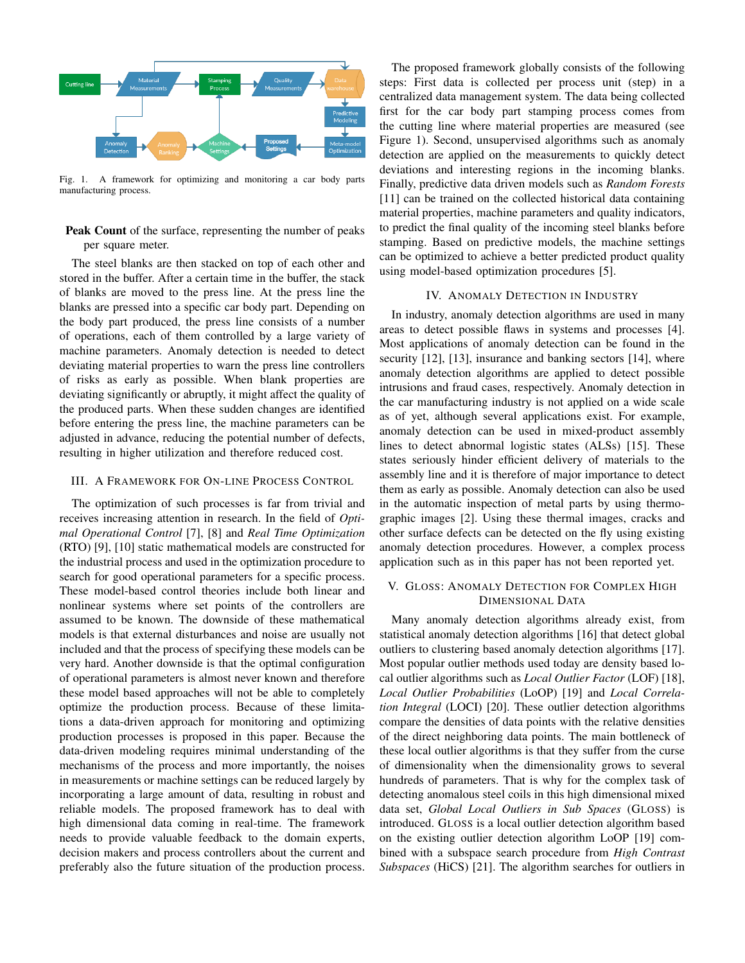

Fig. 1. A framework for optimizing and monitoring a car body parts manufacturing process.

## Peak Count of the surface, representing the number of peaks per square meter.

The steel blanks are then stacked on top of each other and stored in the buffer. After a certain time in the buffer, the stack of blanks are moved to the press line. At the press line the blanks are pressed into a specific car body part. Depending on the body part produced, the press line consists of a number of operations, each of them controlled by a large variety of machine parameters. Anomaly detection is needed to detect deviating material properties to warn the press line controllers of risks as early as possible. When blank properties are deviating significantly or abruptly, it might affect the quality of the produced parts. When these sudden changes are identified before entering the press line, the machine parameters can be adjusted in advance, reducing the potential number of defects, resulting in higher utilization and therefore reduced cost.

### III. A FRAMEWORK FOR ON-LINE PROCESS CONTROL

The optimization of such processes is far from trivial and receives increasing attention in research. In the field of *Optimal Operational Control* [7], [8] and *Real Time Optimization* (RTO) [9], [10] static mathematical models are constructed for the industrial process and used in the optimization procedure to search for good operational parameters for a specific process. These model-based control theories include both linear and nonlinear systems where set points of the controllers are assumed to be known. The downside of these mathematical models is that external disturbances and noise are usually not included and that the process of specifying these models can be very hard. Another downside is that the optimal configuration of operational parameters is almost never known and therefore these model based approaches will not be able to completely optimize the production process. Because of these limitations a data-driven approach for monitoring and optimizing production processes is proposed in this paper. Because the data-driven modeling requires minimal understanding of the mechanisms of the process and more importantly, the noises in measurements or machine settings can be reduced largely by incorporating a large amount of data, resulting in robust and reliable models. The proposed framework has to deal with high dimensional data coming in real-time. The framework needs to provide valuable feedback to the domain experts, decision makers and process controllers about the current and preferably also the future situation of the production process.

The proposed framework globally consists of the following steps: First data is collected per process unit (step) in a centralized data management system. The data being collected first for the car body part stamping process comes from the cutting line where material properties are measured (see Figure 1). Second, unsupervised algorithms such as anomaly detection are applied on the measurements to quickly detect deviations and interesting regions in the incoming blanks. Finally, predictive data driven models such as *Random Forests* [11] can be trained on the collected historical data containing material properties, machine parameters and quality indicators, to predict the final quality of the incoming steel blanks before stamping. Based on predictive models, the machine settings can be optimized to achieve a better predicted product quality using model-based optimization procedures [5].

#### IV. ANOMALY DETECTION IN INDUSTRY

In industry, anomaly detection algorithms are used in many areas to detect possible flaws in systems and processes [4]. Most applications of anomaly detection can be found in the security [12], [13], insurance and banking sectors [14], where anomaly detection algorithms are applied to detect possible intrusions and fraud cases, respectively. Anomaly detection in the car manufacturing industry is not applied on a wide scale as of yet, although several applications exist. For example, anomaly detection can be used in mixed-product assembly lines to detect abnormal logistic states (ALSs) [15]. These states seriously hinder efficient delivery of materials to the assembly line and it is therefore of major importance to detect them as early as possible. Anomaly detection can also be used in the automatic inspection of metal parts by using thermographic images [2]. Using these thermal images, cracks and other surface defects can be detected on the fly using existing anomaly detection procedures. However, a complex process application such as in this paper has not been reported yet.

## V. GLOSS: ANOMALY DETECTION FOR COMPLEX HIGH DIMENSIONAL DATA

Many anomaly detection algorithms already exist, from statistical anomaly detection algorithms [16] that detect global outliers to clustering based anomaly detection algorithms [17]. Most popular outlier methods used today are density based local outlier algorithms such as *Local Outlier Factor* (LOF) [18], *Local Outlier Probabilities* (LoOP) [19] and *Local Correlation Integral* (LOCI) [20]. These outlier detection algorithms compare the densities of data points with the relative densities of the direct neighboring data points. The main bottleneck of these local outlier algorithms is that they suffer from the curse of dimensionality when the dimensionality grows to several hundreds of parameters. That is why for the complex task of detecting anomalous steel coils in this high dimensional mixed data set, *Global Local Outliers in Sub Spaces* (GLOSS) is introduced. GLOSS is a local outlier detection algorithm based on the existing outlier detection algorithm LoOP [19] combined with a subspace search procedure from *High Contrast Subspaces* (HiCS) [21]. The algorithm searches for outliers in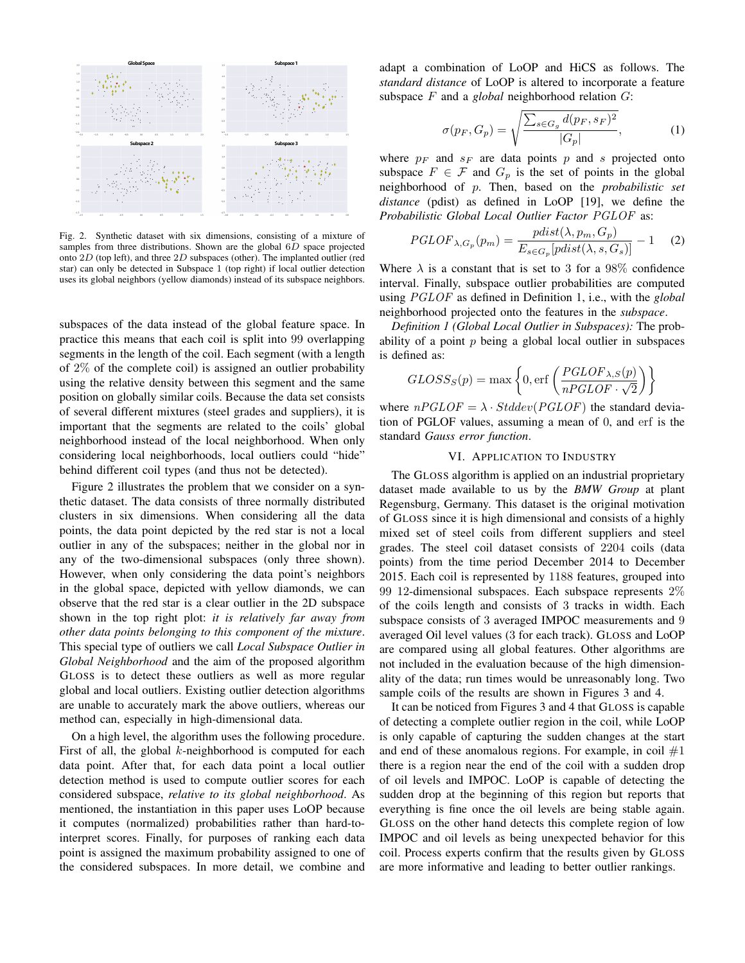

Fig. 2. Synthetic dataset with six dimensions, consisting of a mixture of samples from three distributions. Shown are the global  $6D$  space projected onto 2D (top left), and three 2D subspaces (other). The implanted outlier (red star) can only be detected in Subspace 1 (top right) if local outlier detection uses its global neighbors (yellow diamonds) instead of its subspace neighbors.

subspaces of the data instead of the global feature space. In practice this means that each coil is split into 99 overlapping segments in the length of the coil. Each segment (with a length of 2% of the complete coil) is assigned an outlier probability using the relative density between this segment and the same position on globally similar coils. Because the data set consists of several different mixtures (steel grades and suppliers), it is important that the segments are related to the coils' global neighborhood instead of the local neighborhood. When only considering local neighborhoods, local outliers could "hide" behind different coil types (and thus not be detected).

Figure 2 illustrates the problem that we consider on a synthetic dataset. The data consists of three normally distributed clusters in six dimensions. When considering all the data points, the data point depicted by the red star is not a local outlier in any of the subspaces; neither in the global nor in any of the two-dimensional subspaces (only three shown). However, when only considering the data point's neighbors in the global space, depicted with yellow diamonds, we can observe that the red star is a clear outlier in the 2D subspace shown in the top right plot: *it is relatively far away from other data points belonging to this component of the mixture*. This special type of outliers we call *Local Subspace Outlier in Global Neighborhood* and the aim of the proposed algorithm GLOSS is to detect these outliers as well as more regular global and local outliers. Existing outlier detection algorithms are unable to accurately mark the above outliers, whereas our method can, especially in high-dimensional data.

On a high level, the algorithm uses the following procedure. First of all, the global  $k$ -neighborhood is computed for each data point. After that, for each data point a local outlier detection method is used to compute outlier scores for each considered subspace, *relative to its global neighborhood*. As mentioned, the instantiation in this paper uses LoOP because it computes (normalized) probabilities rather than hard-tointerpret scores. Finally, for purposes of ranking each data point is assigned the maximum probability assigned to one of the considered subspaces. In more detail, we combine and

adapt a combination of LoOP and HiCS as follows. The *standard distance* of LoOP is altered to incorporate a feature subspace F and a *global* neighborhood relation G:

$$
\sigma(p_F, G_p) = \sqrt{\frac{\sum_{s \in G_g} d(p_F, s_F)^2}{|G_p|}},\tag{1}
$$

where  $p_F$  and  $s_F$  are data points p and s projected onto subspace  $F \in \mathcal{F}$  and  $G_p$  is the set of points in the global neighborhood of p. Then, based on the *probabilistic set distance* (pdist) as defined in LoOP [19], we define the *Probabilistic Global Local Outlier Factor* PGLOF as:

$$
PGLOF_{\lambda,G_p}(p_m) = \frac{pdist(\lambda, p_m, G_p)}{E_{s \in G_p}[pdist(\lambda, s, G_s)]} - 1 \quad (2)
$$

Where  $\lambda$  is a constant that is set to 3 for a 98% confidence interval. Finally, subspace outlier probabilities are computed using PGLOF as defined in Definition 1, i.e., with the *global* neighborhood projected onto the features in the *subspace*.

*Definition 1 (Global Local Outlier in Subspaces):* The probability of a point  $p$  being a global local outlier in subspaces is defined as:

$$
GLOSS_S(p) = \max \left\{ 0, \text{erf}\left(\frac{PGLOF_{\lambda,S}(p)}{nPGLOF \cdot \sqrt{2}}\right) \right\}
$$

where  $nPGLOF = \lambda \cdot Stddev(PGLOF)$  the standard deviation of PGLOF values, assuming a mean of 0, and erf is the standard *Gauss error function*.

### VI. APPLICATION TO INDUSTRY

The GLOSS algorithm is applied on an industrial proprietary dataset made available to us by the *BMW Group* at plant Regensburg, Germany. This dataset is the original motivation of GLOSS since it is high dimensional and consists of a highly mixed set of steel coils from different suppliers and steel grades. The steel coil dataset consists of 2204 coils (data points) from the time period December 2014 to December 2015. Each coil is represented by 1188 features, grouped into 99 12-dimensional subspaces. Each subspace represents 2% of the coils length and consists of 3 tracks in width. Each subspace consists of 3 averaged IMPOC measurements and 9 averaged Oil level values (3 for each track). GLOSS and LoOP are compared using all global features. Other algorithms are not included in the evaluation because of the high dimensionality of the data; run times would be unreasonably long. Two sample coils of the results are shown in Figures 3 and 4.

It can be noticed from Figures 3 and 4 that GLOSS is capable of detecting a complete outlier region in the coil, while LoOP is only capable of capturing the sudden changes at the start and end of these anomalous regions. For example, in coil  $#1$ there is a region near the end of the coil with a sudden drop of oil levels and IMPOC. LoOP is capable of detecting the sudden drop at the beginning of this region but reports that everything is fine once the oil levels are being stable again. GLOSS on the other hand detects this complete region of low IMPOC and oil levels as being unexpected behavior for this coil. Process experts confirm that the results given by GLOSS are more informative and leading to better outlier rankings.